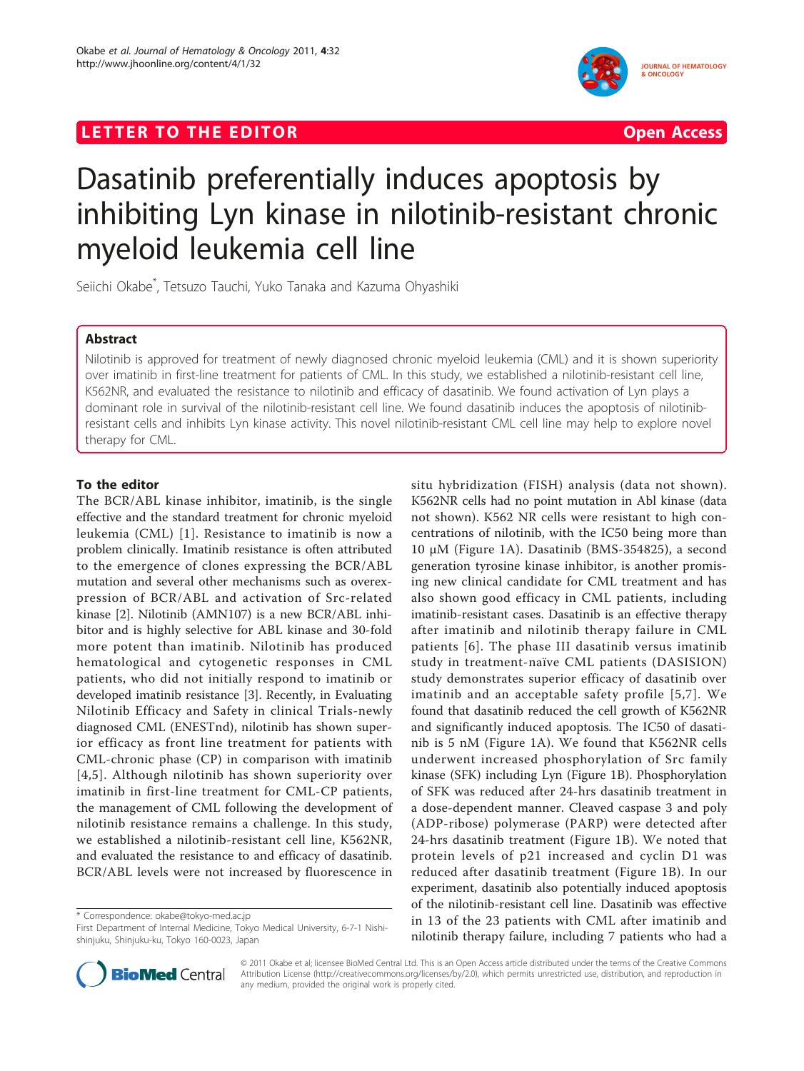# LETTER TO THE EDITOR **CONSIDERING ACCESS** Open Access



# Dasatinib preferentially induces apoptosis by inhibiting Lyn kinase in nilotinib-resistant chronic myeloid leukemia cell line

Seiichi Okabe\* , Tetsuzo Tauchi, Yuko Tanaka and Kazuma Ohyashiki

# Abstract

Nilotinib is approved for treatment of newly diagnosed chronic myeloid leukemia (CML) and it is shown superiority over imatinib in first-line treatment for patients of CML. In this study, we established a nilotinib-resistant cell line, K562NR, and evaluated the resistance to nilotinib and efficacy of dasatinib. We found activation of Lyn plays a dominant role in survival of the nilotinib-resistant cell line. We found dasatinib induces the apoptosis of nilotinibresistant cells and inhibits Lyn kinase activity. This novel nilotinib-resistant CML cell line may help to explore novel therapy for CML.

# To the editor

The BCR/ABL kinase inhibitor, imatinib, is the single effective and the standard treatment for chronic myeloid leukemia (CML) [[1](#page-2-0)]. Resistance to imatinib is now a problem clinically. Imatinib resistance is often attributed to the emergence of clones expressing the BCR/ABL mutation and several other mechanisms such as overexpression of BCR/ABL and activation of Src-related kinase [[2\]](#page-2-0). Nilotinib (AMN107) is a new BCR/ABL inhibitor and is highly selective for ABL kinase and 30-fold more potent than imatinib. Nilotinib has produced hematological and cytogenetic responses in CML patients, who did not initially respond to imatinib or developed imatinib resistance [[3\]](#page-2-0). Recently, in Evaluating Nilotinib Efficacy and Safety in clinical Trials-newly diagnosed CML (ENESTnd), nilotinib has shown superior efficacy as front line treatment for patients with CML-chronic phase (CP) in comparison with imatinib [[4,5](#page-2-0)]. Although nilotinib has shown superiority over imatinib in first-line treatment for CML-CP patients, the management of CML following the development of nilotinib resistance remains a challenge. In this study, we established a nilotinib-resistant cell line, K562NR, and evaluated the resistance to and efficacy of dasatinib. BCR/ABL levels were not increased by fluorescence in

\* Correspondence: [okabe@tokyo-med.ac.jp](mailto:okabe@tokyo-med.ac.jp)

situ hybridization (FISH) analysis (data not shown). K562NR cells had no point mutation in Abl kinase (data not shown). K562 NR cells were resistant to high concentrations of nilotinib, with the IC50 being more than 10 μM (Figure [1A](#page-1-0)). Dasatinib (BMS-354825), a second generation tyrosine kinase inhibitor, is another promising new clinical candidate for CML treatment and has also shown good efficacy in CML patients, including imatinib-resistant cases. Dasatinib is an effective therapy after imatinib and nilotinib therapy failure in CML patients [[6](#page-2-0)]. The phase III dasatinib versus imatinib study in treatment-naïve CML patients (DASISION) study demonstrates superior efficacy of dasatinib over imatinib and an acceptable safety profile [[5,7\]](#page-2-0). We found that dasatinib reduced the cell growth of K562NR and significantly induced apoptosis. The IC50 of dasatinib is 5 nM (Figure [1A\)](#page-1-0). We found that K562NR cells underwent increased phosphorylation of Src family kinase (SFK) including Lyn (Figure [1B](#page-1-0)). Phosphorylation of SFK was reduced after 24-hrs dasatinib treatment in a dose-dependent manner. Cleaved caspase 3 and poly (ADP-ribose) polymerase (PARP) were detected after 24-hrs dasatinib treatment (Figure [1B\)](#page-1-0). We noted that protein levels of p21 increased and cyclin D1 was reduced after dasatinib treatment (Figure [1B\)](#page-1-0). In our experiment, dasatinib also potentially induced apoptosis of the nilotinib-resistant cell line. Dasatinib was effective in 13 of the 23 patients with CML after imatinib and nilotinib therapy failure, including 7 patients who had a



© 2011 Okabe et al; licensee BioMed Central Ltd. This is an Open Access article distributed under the terms of the Creative Commons Attribution License [\(http://creativecommons.org/licenses/by/2.0](http://creativecommons.org/licenses/by/2.0)), which permits unrestricted use, distribution, and reproduction in any medium, provided the original work is properly cited.

First Department of Internal Medicine, Tokyo Medical University, 6-7-1 Nishishinjuku, Shinjuku-ku, Tokyo 160-0023, Japan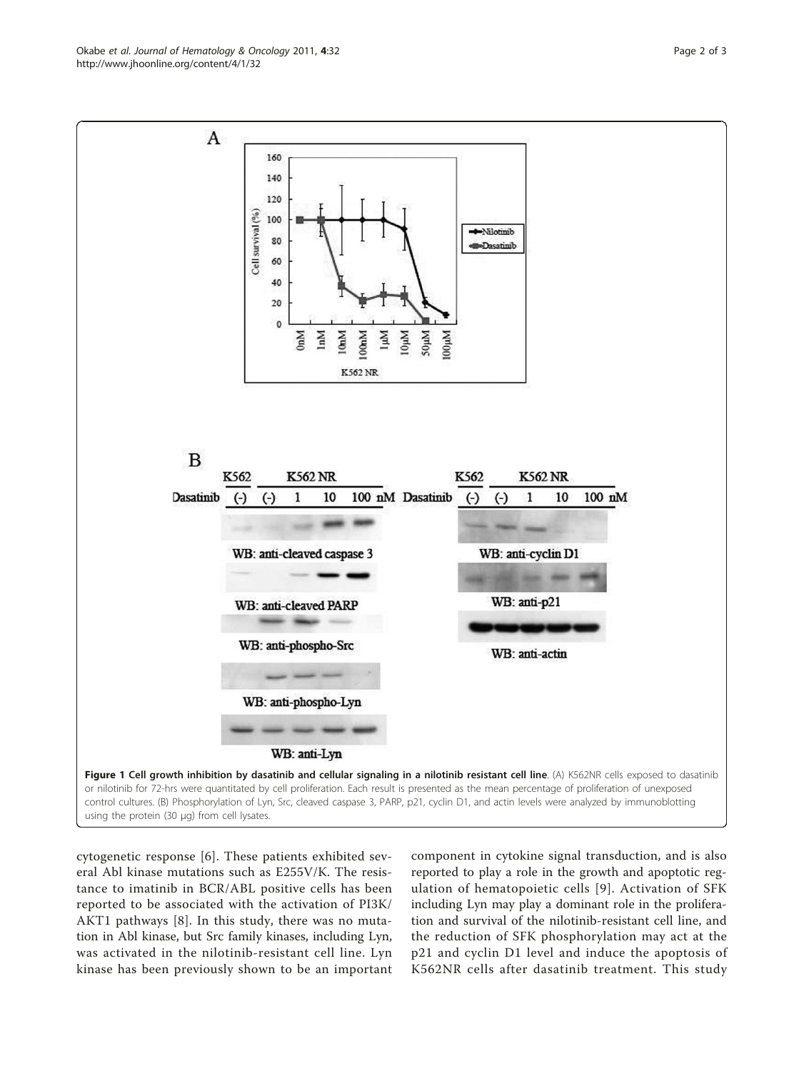<span id="page-1-0"></span>

cytogenetic response [[6\]](#page-2-0). These patients exhibited several Abl kinase mutations such as E255V/K. The resistance to imatinib in BCR/ABL positive cells has been reported to be associated with the activation of PI3K/ AKT1 pathways [[8\]](#page-2-0). In this study, there was no mutation in Abl kinase, but Src family kinases, including Lyn, was activated in the nilotinib-resistant cell line. Lyn kinase has been previously shown to be an important

component in cytokine signal transduction, and is also reported to play a role in the growth and apoptotic regulation of hematopoietic cells [[9\]](#page-2-0). Activation of SFK including Lyn may play a dominant role in the proliferation and survival of the nilotinib-resistant cell line, and the reduction of SFK phosphorylation may act at the p21 and cyclin D1 level and induce the apoptosis of K562NR cells after dasatinib treatment. This study